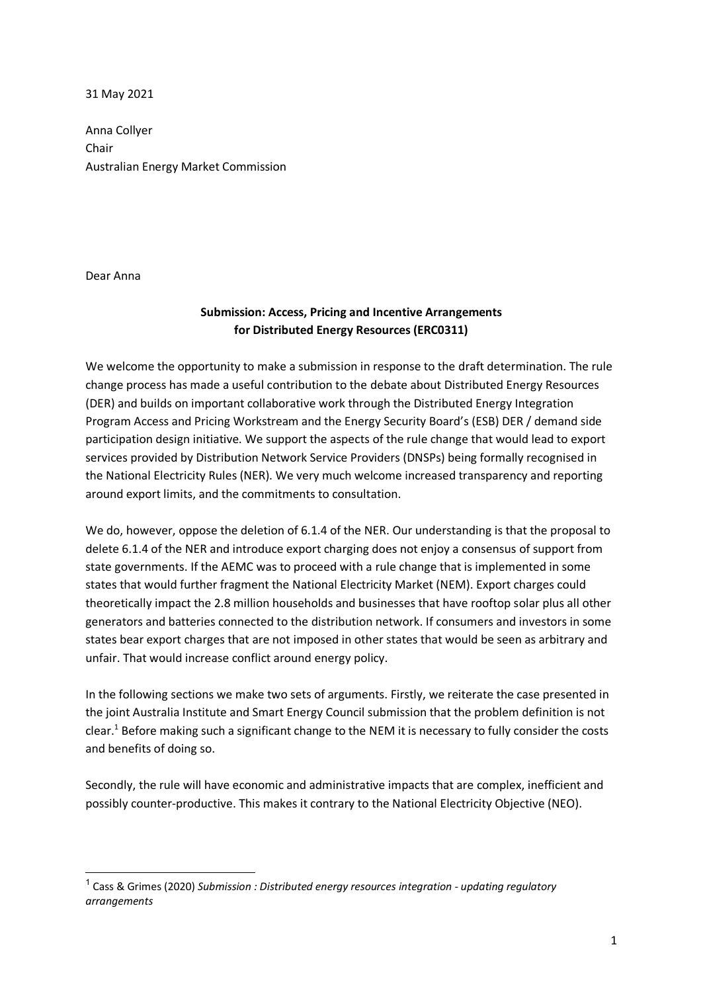31 May 2021

Anna Collyer Chair Australian Energy Market Commission

Dear Anna

## **Submission: Access, Pricing and Incentive Arrangements for Distributed Energy Resources (ERC0311)**

We welcome the opportunity to make a submission in response to the draft determination. The rule change process has made a useful contribution to the debate about Distributed Energy Resources (DER) and builds on important collaborative work through the Distributed Energy Integration Program Access and Pricing Workstream and the Energy Security Board's (ESB) DER / demand side participation design initiative. We support the aspects of the rule change that would lead to export services provided by Distribution Network Service Providers (DNSPs) being formally recognised in the National Electricity Rules (NER). We very much welcome increased transparency and reporting around export limits, and the commitments to consultation.

We do, however, oppose the deletion of 6.1.4 of the NER. Our understanding is that the proposal to delete 6.1.4 of the NER and introduce export charging does not enjoy a consensus of support from state governments. If the AEMC was to proceed with a rule change that is implemented in some states that would further fragment the National Electricity Market (NEM). Export charges could theoretically impact the 2.8 million households and businesses that have rooftop solar plus all other generators and batteries connected to the distribution network. If consumers and investors in some states bear export charges that are not imposed in other states that would be seen as arbitrary and unfair. That would increase conflict around energy policy.

In the following sections we make two sets of arguments. Firstly, we reiterate the case presented in the joint Australia Institute and Smart Energy Council submission that the problem definition is not clear.<sup>1</sup> Before making such a significant change to the NEM it is necessary to fully consider the costs and benefits of doing so.

Secondly, the rule will have economic and administrative impacts that are complex, inefficient and possibly counter-productive. This makes it contrary to the National Electricity Objective (NEO).

 <sup>1</sup> Cass & Grimes (2020) *Submission : Distributed energy resources integration - updating regulatory arrangements*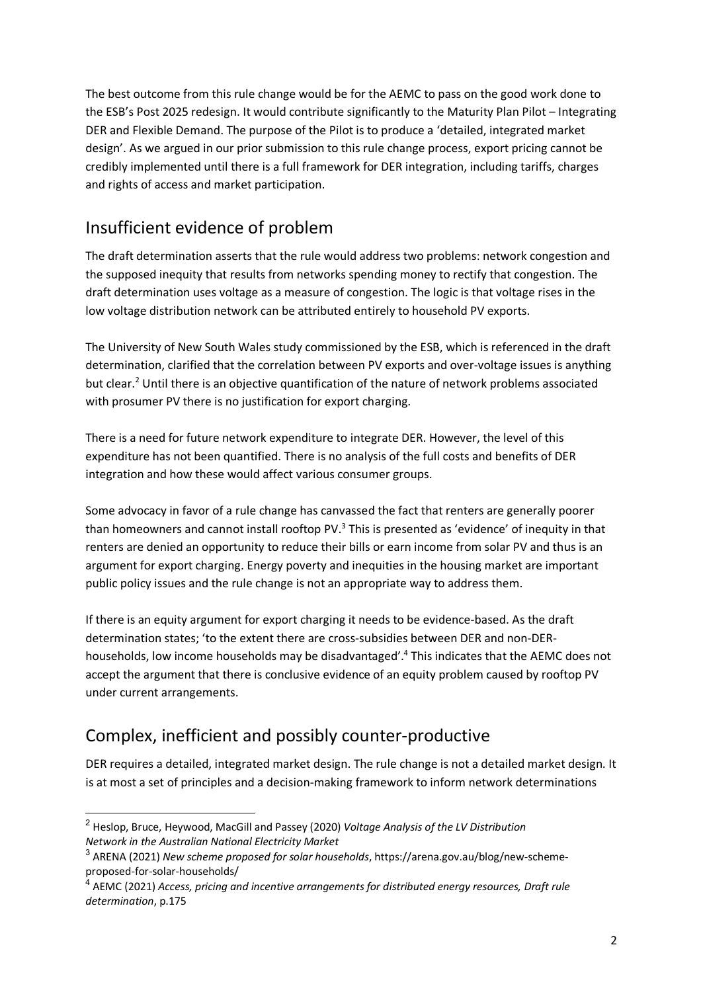The best outcome from this rule change would be for the AEMC to pass on the good work done to the ESB's Post 2025 redesign. It would contribute significantly to the Maturity Plan Pilot – Integrating DER and Flexible Demand. The purpose of the Pilot is to produce a 'detailed, integrated market design'. As we argued in our prior submission to this rule change process, export pricing cannot be credibly implemented until there is a full framework for DER integration, including tariffs, charges and rights of access and market participation.

## Insufficient evidence of problem

The draft determination asserts that the rule would address two problems: network congestion and the supposed inequity that results from networks spending money to rectify that congestion. The draft determination uses voltage as a measure of congestion. The logic is that voltage rises in the low voltage distribution network can be attributed entirely to household PV exports.

The University of New South Wales study commissioned by the ESB, which is referenced in the draft determination, clarified that the correlation between PV exports and over-voltage issues is anything but clear.<sup>2</sup> Until there is an objective quantification of the nature of network problems associated with prosumer PV there is no justification for export charging.

There is a need for future network expenditure to integrate DER. However, the level of this expenditure has not been quantified. There is no analysis of the full costs and benefits of DER integration and how these would affect various consumer groups.

Some advocacy in favor of a rule change has canvassed the fact that renters are generally poorer than homeowners and cannot install rooftop PV.<sup>3</sup> This is presented as 'evidence' of inequity in that renters are denied an opportunity to reduce their bills or earn income from solar PV and thus is an argument for export charging. Energy poverty and inequities in the housing market are important public policy issues and the rule change is not an appropriate way to address them.

If there is an equity argument for export charging it needs to be evidence-based. As the draft determination states; 'to the extent there are cross-subsidies between DER and non-DERhouseholds, low income households may be disadvantaged'.4 This indicates that the AEMC does not accept the argument that there is conclusive evidence of an equity problem caused by rooftop PV under current arrangements.

## Complex, inefficient and possibly counter-productive

DER requires a detailed, integrated market design. The rule change is not a detailed market design. It is at most a set of principles and a decision-making framework to inform network determinations

 <sup>2</sup> Heslop, Bruce, Heywood, MacGill and Passey (2020) *Voltage Analysis of the LV Distribution Network in the Australian National Electricity Market*

<sup>3</sup> ARENA (2021) *New scheme proposed for solar households*, https://arena.gov.au/blog/new-schemeproposed-for-solar-households/

<sup>4</sup> AEMC (2021) *Access, pricing and incentive arrangements for distributed energy resources, Draft rule determination*, p.175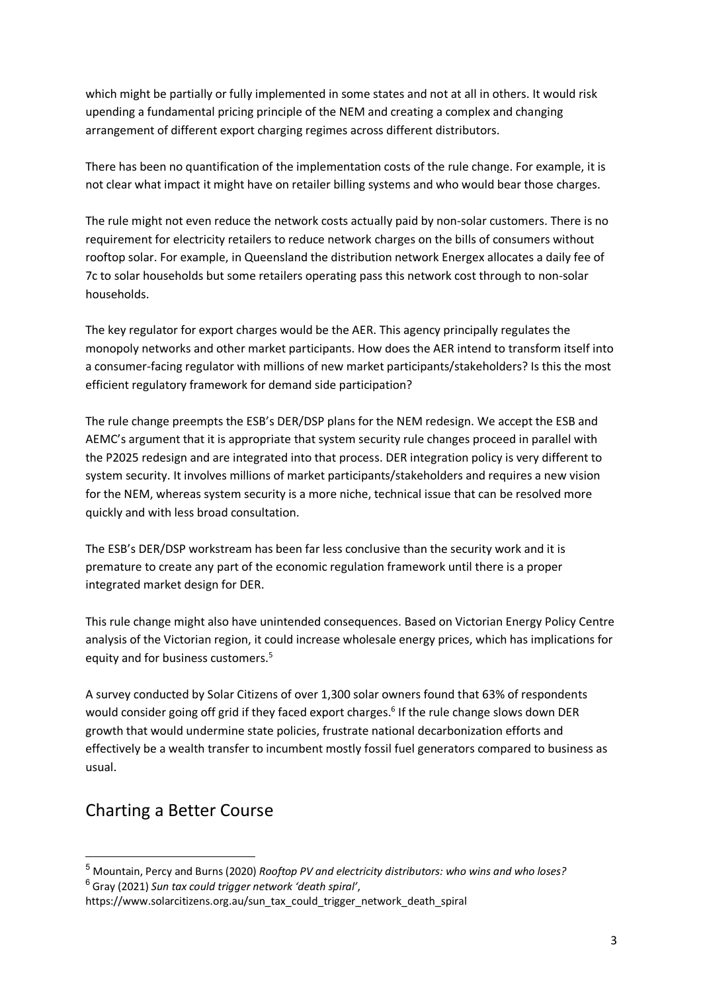which might be partially or fully implemented in some states and not at all in others. It would risk upending a fundamental pricing principle of the NEM and creating a complex and changing arrangement of different export charging regimes across different distributors.

There has been no quantification of the implementation costs of the rule change. For example, it is not clear what impact it might have on retailer billing systems and who would bear those charges.

The rule might not even reduce the network costs actually paid by non-solar customers. There is no requirement for electricity retailers to reduce network charges on the bills of consumers without rooftop solar. For example, in Queensland the distribution network Energex allocates a daily fee of 7c to solar households but some retailers operating pass this network cost through to non-solar households.

The key regulator for export charges would be the AER. This agency principally regulates the monopoly networks and other market participants. How does the AER intend to transform itself into a consumer-facing regulator with millions of new market participants/stakeholders? Is this the most efficient regulatory framework for demand side participation?

The rule change preempts the ESB's DER/DSP plans for the NEM redesign. We accept the ESB and AEMC's argument that it is appropriate that system security rule changes proceed in parallel with the P2025 redesign and are integrated into that process. DER integration policy is very different to system security. It involves millions of market participants/stakeholders and requires a new vision for the NEM, whereas system security is a more niche, technical issue that can be resolved more quickly and with less broad consultation.

The ESB's DER/DSP workstream has been far less conclusive than the security work and it is premature to create any part of the economic regulation framework until there is a proper integrated market design for DER.

This rule change might also have unintended consequences. Based on Victorian Energy Policy Centre analysis of the Victorian region, it could increase wholesale energy prices, which has implications for equity and for business customers.<sup>5</sup>

A survey conducted by Solar Citizens of over 1,300 solar owners found that 63% of respondents would consider going off grid if they faced export charges.<sup>6</sup> If the rule change slows down DER growth that would undermine state policies, frustrate national decarbonization efforts and effectively be a wealth transfer to incumbent mostly fossil fuel generators compared to business as usual.

## Charting a Better Course

<sup>6</sup> Gray (2021) *Sun tax could trigger network 'death spiral'*,

 <sup>5</sup> Mountain, Percy and Burns (2020) *Rooftop PV and electricity distributors: who wins and who loses?*

https://www.solarcitizens.org.au/sun\_tax\_could\_trigger\_network\_death\_spiral